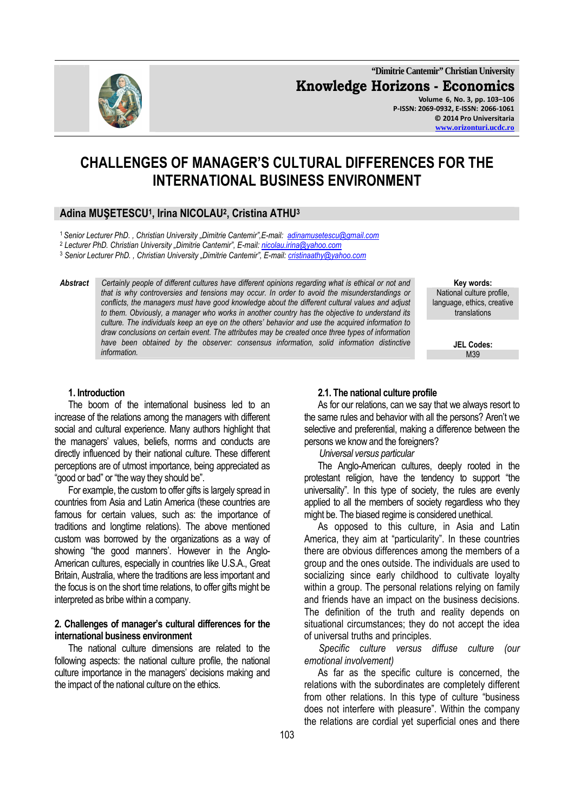**"Dimitrie Cantemir" Christian University Knowledge Horizons - Economics Volume 6, No. 3, pp. 103–106 P-ISSN: 2069-0932, E-ISSN: 2066-1061 © 2014 Pro Universitaria www.orizonturi.ucdc.ro**



# **CHALLENGES OF MANAGER'S CULTURAL DIFFERENCES FOR THE INTERNATIONAL BUSINESS ENVIRONMENT**

# **Adina MUŞETESCU<sup>1</sup> , Irina NICOLAU<sup>2</sup> , Cristina ATHU<sup>3</sup>**

<sup>1</sup>*Senior Lecturer PhD. , Christian University "Dimitrie Cantemir",E-mail: adinamusetescu@gmail.com*

<sup>2</sup> Lecturer PhD. Christian University "Dimitrie Cantemir", E-mail: <u>nicolau.irina@yahoo.com</u>

<sup>3</sup> Senior Lecturer PhD. , Christian University "Dimitrie Cantemir", E-mail: <u>cristinaathy@yahoo.com</u>

*Abstract Certainly people of different cultures have different opinions regarding what is ethical or not and that is why controversies and tensions may occur. In order to avoid the misunderstandings or conflicts, the managers must have good knowledge about the different cultural values and adjust to them. Obviously, a manager who works in another country has the objective to understand its culture. The individuals keep an eye on the others' behavior and use the acquired information to draw conclusions on certain event. The attributes may be created once three types of information have been obtained by the observer: consensus information, solid information distinctive information.* M39

**Key words:**  National culture profile, language, ethics, creative translations

**JEL Codes:**

#### **1. Introduction**

The boom of the international business led to an increase of the relations among the managers with different social and cultural experience. Many authors highlight that the managers' values, beliefs, norms and conducts are directly influenced by their national culture. These different perceptions are of utmost importance, being appreciated as "good or bad" or "the way they should be".

For example, the custom to offer gifts is largely spread in countries from Asia and Latin America (these countries are famous for certain values, such as: the importance of traditions and longtime relations). The above mentioned custom was borrowed by the organizations as a way of showing "the good manners'. However in the Anglo-American cultures, especially in countries like U.S.A., Great Britain, Australia, where the traditions are less important and the focus is on the short time relations, to offer gifts might be interpreted as bribe within a company.

#### **2. Challenges of manager's cultural differences for the international business environment**

The national culture dimensions are related to the following aspects: the national culture profile, the national culture importance in the managers' decisions making and the impact of the national culture on the ethics.

#### **2.1. The national culture profile**

As for our relations, can we say that we always resort to the same rules and behavior with all the persons? Aren't we selective and preferential, making a difference between the persons we know and the foreigners?

 *Universal versus particular* 

The Anglo-American cultures, deeply rooted in the protestant religion, have the tendency to support "the universality". In this type of society, the rules are evenly applied to all the members of society regardless who they might be. The biased regime is considered unethical.

As opposed to this culture, in Asia and Latin America, they aim at "particularity". In these countries there are obvious differences among the members of a group and the ones outside. The individuals are used to socializing since early childhood to cultivate loyalty within a group. The personal relations relying on family and friends have an impact on the business decisions. The definition of the truth and reality depends on situational circumstances; they do not accept the idea of universal truths and principles.

 *Specific culture versus diffuse culture (our emotional involvement)* 

As far as the specific culture is concerned, the relations with the subordinates are completely different from other relations. In this type of culture "business does not interfere with pleasure". Within the company the relations are cordial yet superficial ones and there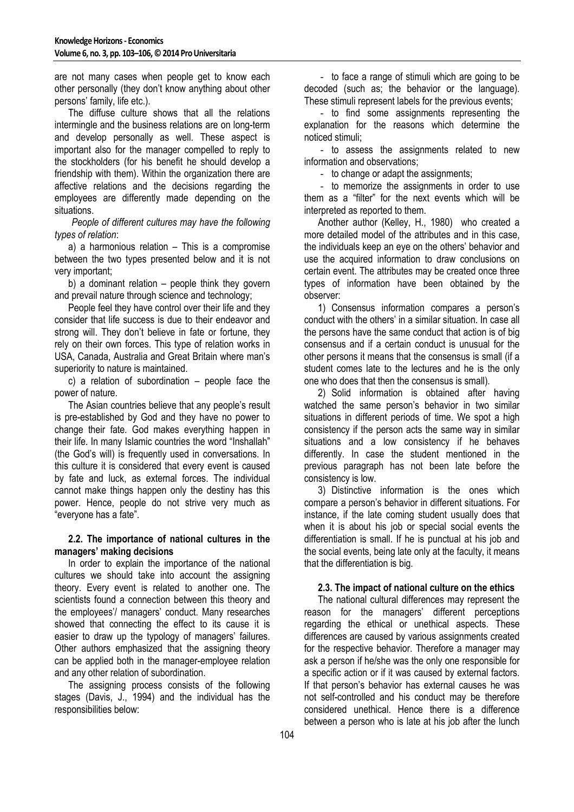are not many cases when people get to know each other personally (they don't know anything about other persons' family, life etc.).

The diffuse culture shows that all the relations intermingle and the business relations are on long-term and develop personally as well. These aspect is important also for the manager compelled to reply to the stockholders (for his benefit he should develop a friendship with them). Within the organization there are affective relations and the decisions regarding the employees are differently made depending on the situations.

 *People of different cultures may have the following types of relation*:

a) a harmonious relation – This is a compromise between the two types presented below and it is not very important;

b) a dominant relation – people think they govern and prevail nature through science and technology;

People feel they have control over their life and they consider that life success is due to their endeavor and strong will. They don't believe in fate or fortune, they rely on their own forces. This type of relation works in USA, Canada, Australia and Great Britain where man's superiority to nature is maintained.

c) a relation of subordination – people face the power of nature.

The Asian countries believe that any people's result is pre-established by God and they have no power to change their fate. God makes everything happen in their life. In many Islamic countries the word "Inshallah" (the God's will) is frequently used in conversations. In this culture it is considered that every event is caused by fate and luck, as external forces. The individual cannot make things happen only the destiny has this power. Hence, people do not strive very much as "everyone has a fate".

# **2.2. The importance of national cultures in the managers' making decisions**

In order to explain the importance of the national cultures we should take into account the assigning theory. Every event is related to another one. The scientists found a connection between this theory and the employees'/ managers' conduct. Many researches showed that connecting the effect to its cause it is easier to draw up the typology of managers' failures. Other authors emphasized that the assigning theory can be applied both in the manager-employee relation and any other relation of subordination.

The assigning process consists of the following stages (Davis, J., 1994) and the individual has the responsibilities below:

- to face a range of stimuli which are going to be decoded (such as; the behavior or the language). These stimuli represent labels for the previous events;

- to find some assignments representing the explanation for the reasons which determine the noticed stimuli;

- to assess the assignments related to new information and observations;

- to change or adapt the assignments;

- to memorize the assignments in order to use them as a "filter" for the next events which will be interpreted as reported to them.

Another author (Kelley, H., 1980) who created a more detailed model of the attributes and in this case, the individuals keep an eye on the others' behavior and use the acquired information to draw conclusions on certain event. The attributes may be created once three types of information have been obtained by the observer:

1) Consensus information compares a person's conduct with the others' in a similar situation. In case all the persons have the same conduct that action is of big consensus and if a certain conduct is unusual for the other persons it means that the consensus is small (if a student comes late to the lectures and he is the only one who does that then the consensus is small).

2) Solid information is obtained after having watched the same person's behavior in two similar situations in different periods of time. We spot a high consistency if the person acts the same way in similar situations and a low consistency if he behaves differently. In case the student mentioned in the previous paragraph has not been late before the consistency is low.

3) Distinctive information is the ones which compare a person's behavior in different situations. For instance, if the late coming student usually does that when it is about his job or special social events the differentiation is small. If he is punctual at his job and the social events, being late only at the faculty, it means that the differentiation is big.

# **2.3. The impact of national culture on the ethics**

The national cultural differences may represent the reason for the managers' different perceptions regarding the ethical or unethical aspects. These differences are caused by various assignments created for the respective behavior. Therefore a manager may ask a person if he/she was the only one responsible for a specific action or if it was caused by external factors. If that person's behavior has external causes he was not self-controlled and his conduct may be therefore considered unethical. Hence there is a difference between a person who is late at his job after the lunch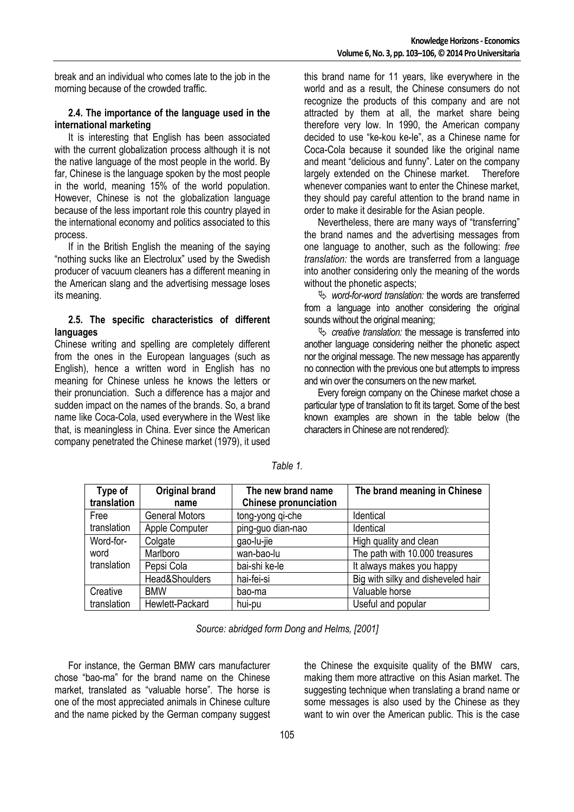break and an individual who comes late to the job in the morning because of the crowded traffic.

#### **2.4. The importance of the language used in the international marketing**

It is interesting that English has been associated with the current globalization process although it is not the native language of the most people in the world. By far, Chinese is the language spoken by the most people in the world, meaning 15% of the world population. However, Chinese is not the globalization language because of the less important role this country played in the international economy and politics associated to this process.

If in the British English the meaning of the saying "nothing sucks like an Electrolux" used by the Swedish producer of vacuum cleaners has a different meaning in the American slang and the advertising message loses its meaning.

#### **2.5. The specific characteristics of different languages**

Chinese writing and spelling are completely different from the ones in the European languages (such as English), hence a written word in English has no meaning for Chinese unless he knows the letters or their pronunciation. Such a difference has a major and sudden impact on the names of the brands. So, a brand name like Coca-Cola, used everywhere in the West like that, is meaningless in China. Ever since the American company penetrated the Chinese market (1979), it used

this brand name for 11 years, like everywhere in the world and as a result, the Chinese consumers do not recognize the products of this company and are not attracted by them at all, the market share being therefore very low. In 1990, the American company decided to use "ke-kou ke-le", as a Chinese name for Coca-Cola because it sounded like the original name and meant "delicious and funny". Later on the company largely extended on the Chinese market. Therefore whenever companies want to enter the Chinese market, they should pay careful attention to the brand name in order to make it desirable for the Asian people.

Nevertheless, there are many ways of "transferring" the brand names and the advertising messages from one language to another, such as the following: *free translation:* the words are transferred from a language into another considering only the meaning of the words without the phonetic aspects;

word-for-word translation: the words are transferred from a language into another considering the original sounds without the original meaning;

 *creative translation:* the message is transferred into another language considering neither the phonetic aspect nor the original message. The new message has apparently no connection with the previous one but attempts to impress and win over the consumers on the new market.

Every foreign company on the Chinese market chose a particular type of translation to fit its target. Some of the best known examples are shown in the table below (the characters in Chinese are not rendered):

| Type of<br>translation | <b>Original brand</b><br>name | The new brand name<br><b>Chinese pronunciation</b> | The brand meaning in Chinese       |
|------------------------|-------------------------------|----------------------------------------------------|------------------------------------|
| Free                   | <b>General Motors</b>         | tong-yong qi-che                                   | Identical                          |
| translation            | Apple Computer                | ping-guo dian-nao                                  | Identical                          |
| Word-for-              | Colgate                       | gao-lu-jie                                         | High quality and clean             |
| word                   | Marlboro                      | wan-bao-lu                                         | The path with 10.000 treasures     |
| translation            | Pepsi Cola                    | bai-shi ke-le                                      | It always makes you happy          |
|                        | Head&Shoulders                | hai-fei-si                                         | Big with silky and disheveled hair |
| Creative               | <b>BMW</b>                    | bao-ma                                             | Valuable horse                     |
| translation            | Hewlett-Packard               | hui-pu                                             | Useful and popular                 |

*Table 1.* 

*Source: abridged form Dong and Helms, [2001]* 

For instance, the German BMW cars manufacturer chose "bao-ma" for the brand name on the Chinese market, translated as "valuable horse". The horse is one of the most appreciated animals in Chinese culture and the name picked by the German company suggest the Chinese the exquisite quality of the BMW cars, making them more attractive on this Asian market. The suggesting technique when translating a brand name or some messages is also used by the Chinese as they want to win over the American public. This is the case